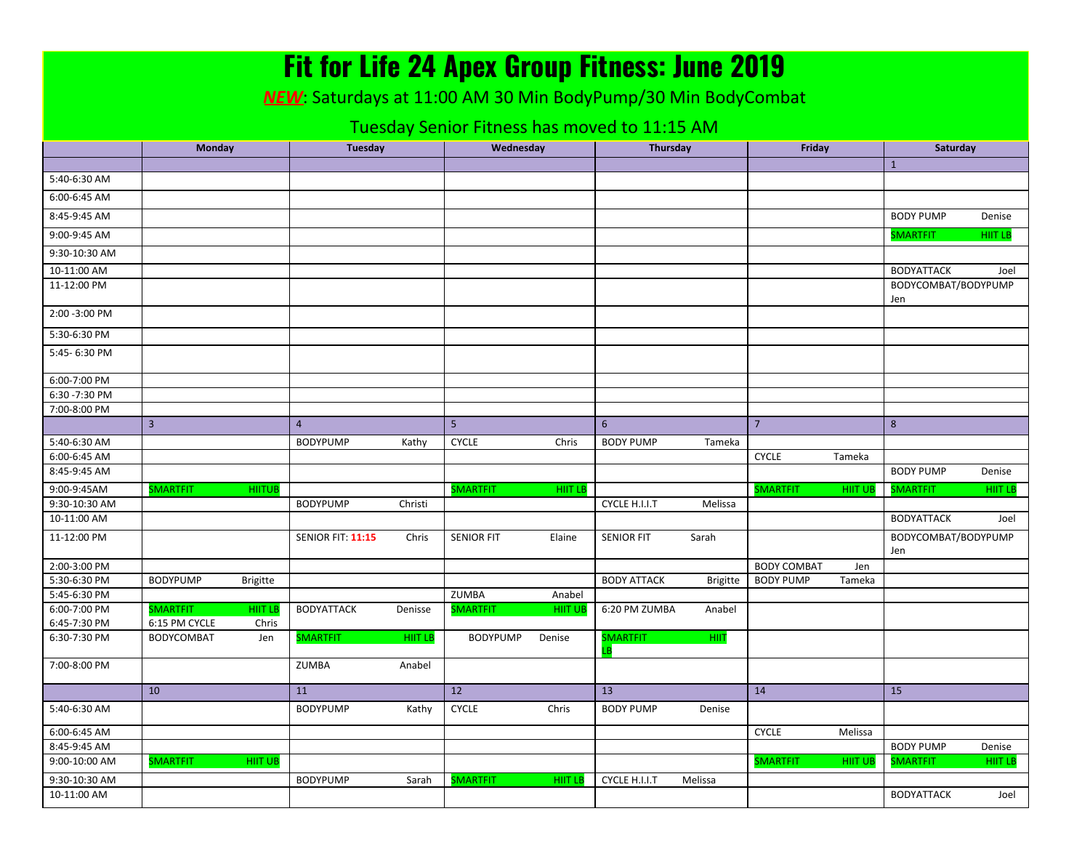|                                              |                                    |                 | <b>Fit for Life 24 Apex Group Fitness: June 2019</b>                |         |                   |                |                    |                 |                    |                |                            |                |
|----------------------------------------------|------------------------------------|-----------------|---------------------------------------------------------------------|---------|-------------------|----------------|--------------------|-----------------|--------------------|----------------|----------------------------|----------------|
|                                              |                                    |                 | <b>NEW:</b> Saturdays at 11:00 AM 30 Min BodyPump/30 Min BodyCombat |         |                   |                |                    |                 |                    |                |                            |                |
|                                              |                                    |                 |                                                                     |         |                   |                |                    |                 |                    |                |                            |                |
| Tuesday Senior Fitness has moved to 11:15 AM |                                    |                 |                                                                     |         |                   |                |                    |                 |                    |                |                            |                |
|                                              | Monday                             |                 | Tuesday                                                             |         | Wednesday         |                | <b>Thursday</b>    |                 | Friday             |                | Saturday                   |                |
| 5:40-6:30 AM                                 |                                    |                 |                                                                     |         |                   |                |                    |                 |                    |                | $\mathbf{1}$               |                |
| 6:00-6:45 AM                                 |                                    |                 |                                                                     |         |                   |                |                    |                 |                    |                |                            |                |
|                                              |                                    |                 |                                                                     |         |                   |                |                    |                 |                    |                |                            |                |
| 8:45-9:45 AM                                 |                                    |                 |                                                                     |         |                   |                |                    |                 |                    |                | <b>BODY PUMP</b>           | Denise         |
| 9:00-9:45 AM                                 |                                    |                 |                                                                     |         |                   |                |                    |                 |                    |                | <b>SMARTFIT</b>            | HIIT LB        |
| 9:30-10:30 AM                                |                                    |                 |                                                                     |         |                   |                |                    |                 |                    |                |                            |                |
| 10-11:00 AM                                  |                                    |                 |                                                                     |         |                   |                |                    |                 |                    |                | <b>BODYATTACK</b>          | Joel           |
| 11-12:00 PM                                  |                                    |                 |                                                                     |         |                   |                |                    |                 |                    |                | BODYCOMBAT/BODYPUMP<br>Jen |                |
| 2:00 - 3:00 PM                               |                                    |                 |                                                                     |         |                   |                |                    |                 |                    |                |                            |                |
| 5:30-6:30 PM                                 |                                    |                 |                                                                     |         |                   |                |                    |                 |                    |                |                            |                |
| 5:45-6:30 PM                                 |                                    |                 |                                                                     |         |                   |                |                    |                 |                    |                |                            |                |
| 6:00-7:00 PM                                 |                                    |                 |                                                                     |         |                   |                |                    |                 |                    |                |                            |                |
| 6:30 - 7:30 PM                               |                                    |                 |                                                                     |         |                   |                |                    |                 |                    |                |                            |                |
| 7:00-8:00 PM                                 |                                    |                 |                                                                     |         |                   |                |                    |                 |                    |                |                            |                |
|                                              | $\overline{3}$                     |                 | $\overline{4}$                                                      |         | 5                 |                | $6\overline{6}$    |                 | $\overline{7}$     |                | 8                          |                |
| 5:40-6:30 AM                                 |                                    |                 | <b>BODYPUMP</b>                                                     | Kathy   | <b>CYCLE</b>      | Chris          | <b>BODY PUMP</b>   | Tameka          |                    |                |                            |                |
| 6:00-6:45 AM<br>8:45-9:45 AM                 |                                    |                 |                                                                     |         |                   |                |                    |                 | <b>CYCLE</b>       | Tameka         | <b>BODY PUMP</b>           | Denise         |
| 9:00-9:45AM                                  | <b>SMARTFIT</b>                    | <b>HIITUB</b>   |                                                                     |         | <b>SMARTFIT</b>   | <b>HIIT LB</b> |                    |                 | <b>SMARTFIT</b>    | <b>HIIT UI</b> | <b>SMARTFIT</b>            | <b>HIIT LB</b> |
| 9:30-10:30 AM                                |                                    |                 | <b>BODYPUMP</b>                                                     | Christi |                   |                | CYCLE H.I.I.T      | Melissa         |                    |                |                            |                |
| 10-11:00 AM                                  |                                    |                 |                                                                     |         |                   |                |                    |                 |                    |                | <b>BODYATTACK</b>          | Joel           |
| 11-12:00 PM                                  |                                    |                 | <b>SENIOR FIT: 11:15</b>                                            | Chris   | <b>SENIOR FIT</b> | Elaine         | <b>SENIOR FIT</b>  | Sarah           |                    |                | BODYCOMBAT/BODYPUMP<br>Jen |                |
| 2:00-3:00 PM                                 |                                    |                 |                                                                     |         |                   |                |                    |                 | <b>BODY COMBAT</b> | Jen            |                            |                |
| 5:30-6:30 PM                                 | <b>BODYPUMP</b>                    | <b>Brigitte</b> |                                                                     |         |                   |                | <b>BODY ATTACK</b> | <b>Brigitte</b> | <b>BODY PUMP</b>   | Tameka         |                            |                |
| 5:45-6:30 PM                                 |                                    |                 |                                                                     |         | ZUMBA             | Anabel         |                    |                 |                    |                |                            |                |
| 6:00-7:00 PM                                 | <b>SMARTFIT</b>                    | hiit le         | <b>BODYATTACK</b>                                                   | Denisse | <b>SMARTFIT</b>   | <b>HIIT UB</b> | 6:20 PM ZUMBA      | Anabel          |                    |                |                            |                |
| 6:45-7:30 PM<br>6:30-7:30 PM                 | 6:15 PM CYCLE<br><b>BODYCOMBAT</b> | Chris<br>Jen    | <b>SMARTFIT</b>                                                     | HIIT LB | <b>BODYPUMP</b>   | Denise         | <b>SMARTFIT</b>    | HIIT            |                    |                |                            |                |
|                                              |                                    |                 |                                                                     |         |                   |                |                    |                 |                    |                |                            |                |
| 7:00-8:00 PM                                 |                                    |                 | ZUMBA                                                               | Anabel  |                   |                |                    |                 |                    |                |                            |                |
|                                              | 10                                 |                 | 11                                                                  |         | 12                |                | 13                 |                 | 14                 |                | 15                         |                |
| 5:40-6:30 AM                                 |                                    |                 | <b>BODYPUMP</b>                                                     | Kathy   | <b>CYCLE</b>      | Chris          | <b>BODY PUMP</b>   | Denise          |                    |                |                            |                |
| 6:00-6:45 AM                                 |                                    |                 |                                                                     |         |                   |                |                    |                 | <b>CYCLE</b>       | Melissa        |                            |                |
| 8:45-9:45 AM                                 |                                    |                 |                                                                     |         |                   |                |                    |                 |                    |                | <b>BODY PUMP</b>           | Denise         |
| 9:00-10:00 AM                                | <b>SMARTFIT</b>                    | <b>HIIT UB</b>  |                                                                     |         |                   |                |                    |                 | <b>SMARTFIT</b>    | <b>HIIT UE</b> | <b>SMARTFIT</b>            | <b>HIIT LB</b> |
| 9:30-10:30 AM                                |                                    |                 | <b>BODYPUMP</b>                                                     | Sarah   | <b>SMARTFIT</b>   | <b>HIIT LB</b> | CYCLE H.I.I.T      | Melissa         |                    |                |                            |                |
| 10-11:00 AM                                  |                                    |                 |                                                                     |         |                   |                |                    |                 |                    |                | <b>BODYATTACK</b>          | Joel           |